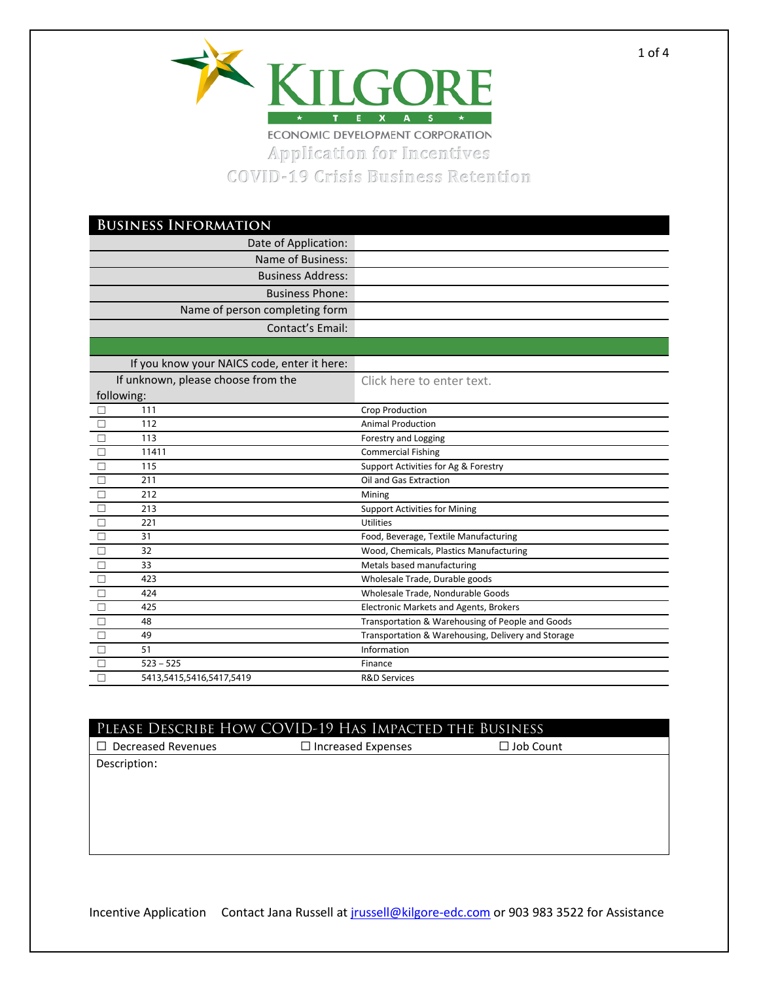

Application for Incentives COVID-19 Crisis Business Retention

| <b>BUSINESS INFORMATION</b>                 |                                                    |  |
|---------------------------------------------|----------------------------------------------------|--|
| Date of Application:                        |                                                    |  |
| Name of Business:                           |                                                    |  |
| <b>Business Address:</b>                    |                                                    |  |
| <b>Business Phone:</b>                      |                                                    |  |
| Name of person completing form              |                                                    |  |
| Contact's Email:                            |                                                    |  |
|                                             |                                                    |  |
| If you know your NAICS code, enter it here: |                                                    |  |
|                                             |                                                    |  |
| If unknown, please choose from the          | Click here to enter text.                          |  |
| following:<br>111                           |                                                    |  |
| $\Box$<br>112                               | Crop Production<br><b>Animal Production</b>        |  |
| 113                                         |                                                    |  |
| $\Box$                                      | Forestry and Logging                               |  |
| $\Box$<br>11411                             | <b>Commercial Fishing</b>                          |  |
| $\Box$<br>115                               | Support Activities for Ag & Forestry               |  |
| $\Box$<br>211                               | Oil and Gas Extraction                             |  |
| $\Box$<br>212                               | Mining                                             |  |
| $\Box$<br>213                               | <b>Support Activities for Mining</b>               |  |
| $\Box$<br>221                               | Utilities                                          |  |
| 31<br>$\Box$                                | Food, Beverage, Textile Manufacturing              |  |
| $\Box$<br>32                                | Wood, Chemicals, Plastics Manufacturing            |  |
| $\Box$<br>33                                | Metals based manufacturing                         |  |
| $\Box$<br>423                               | Wholesale Trade, Durable goods                     |  |
| $\Box$<br>424                               | Wholesale Trade, Nondurable Goods                  |  |
| $\Box$<br>425                               | <b>Electronic Markets and Agents, Brokers</b>      |  |
| $\Box$<br>48                                | Transportation & Warehousing of People and Goods   |  |
| $\overline{\Box}$<br>49                     | Transportation & Warehousing, Delivery and Storage |  |
| $\Box$<br>51                                | Information                                        |  |
| $\Box$<br>$523 - 525$                       | Finance                                            |  |
| $\Box$<br>5413,5415,5416,5417,5419          | <b>R&amp;D Services</b>                            |  |

| PLEASE DESCRIBE HOW COVID-19 HAS IMPACTED THE BUSINESS |                           |                  |  |
|--------------------------------------------------------|---------------------------|------------------|--|
| <b>Decreased Revenues</b>                              | $\Box$ Increased Expenses | $\Box$ Job Count |  |
| Description:                                           |                           |                  |  |
|                                                        |                           |                  |  |
|                                                        |                           |                  |  |
|                                                        |                           |                  |  |
|                                                        |                           |                  |  |

Incentive Application Contact Jana Russell at *jrussell@kilgore-edc.com* or 903 983 3522 for Assistance